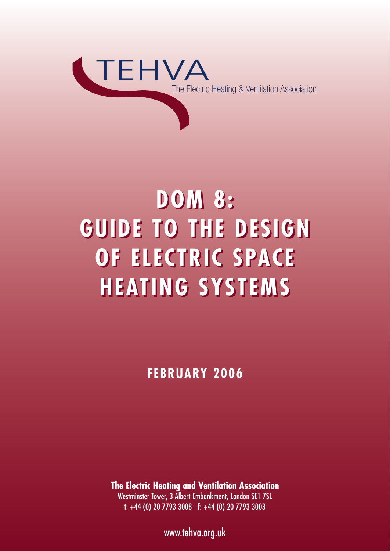

# **DOM 8: DOM 8: GUIDE TO THE DESIGN GUIDE TO THE DESIGN OF ELECTRIC SPACE OF ELECTRIC SPACE HEATING SYSTEMS HEATING SYSTEMS**

**FEBRUARY 2006**

**The Electric Heating and Ventilation Association** Westminster Tower, 3 Albert Embankment, London SE1 7SL t: +44 (0) 20 7793 3008 f: +44 (0) 20 7793 3003

www.tehva.org.uk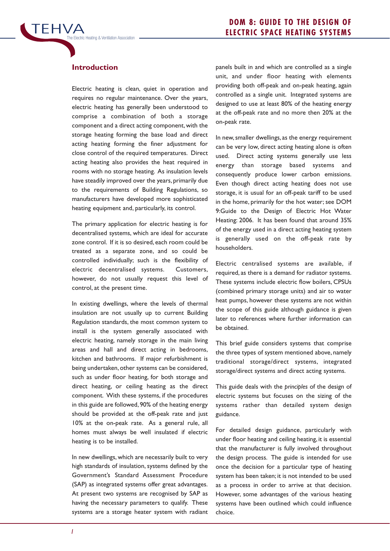

# **DOM 8: GUIDE TO THE DESIGN OF ELECTRIC SPACE HEATING SYSTEMS**

# **Introduction**

Electric heating is clean, quiet in operation and requires no regular maintenance. Over the years, electric heating has generally been understood to comprise a combination of both a storage component and a direct acting component, with the storage heating forming the base load and direct acting heating forming the finer adjustment for close control of the required temperatures. Direct acting heating also provides the heat required in rooms with no storage heating. As insulation levels have steadily improved over the years, primarily due to the requirements of Building Regulations, so manufacturers have developed more sophisticated heating equipment and, particularly, its control.

The primary application for electric heating is for decentralised systems, which are ideal for accurate zone control. If it is so desired, each room could be treated as a separate zone, and so could be controlled individually; such is the flexibility of electric decentralised systems. Customers, however, do not usually request this level of control, at the present time.

In existing dwellings, where the levels of thermal insulation are not usually up to current Building Regulation standards, the most common system to install is the system generally associated with electric heating, namely storage in the main living areas and hall and direct acting in bedrooms, kitchen and bathrooms. If major refurbishment is being undertaken, other systems can be considered, such as under floor heating, for both storage and direct heating, or ceiling heating as the direct component. With these systems, if the procedures in this guide are followed, 90% of the heating energy should be provided at the off-peak rate and just 10% at the on-peak rate. As a general rule, all homes must always be well insulated if electric heating is to be installed.

In new dwellings, which are necessarily built to very high standards of insulation, systems defined by the Government's Standard Assessment Procedure (SAP) as integrated systems offer great advantages. At present two systems are recognised by SAP as having the necessary parameters to qualify. These systems are a storage heater system with radiant panels built in and which are controlled as a single unit, and under floor heating with elements providing both off-peak and on-peak heating, again controlled as a single unit. Integrated systems are designed to use at least 80% of the heating energy at the off-peak rate and no more then 20% at the on-peak rate.

In new, smaller dwellings, as the energy requirement can be very low, direct acting heating alone is often used. Direct acting systems generally use less energy than storage based systems and consequently produce lower carbon emissions. Even though direct acting heating does not use storage, it is usual for an off-peak tariff to be used in the home, primarily for the hot water; see DOM 9:Guide to the Design of Electric Hot Water Heating: 2006. It has been found that around 35% of the energy used in a direct acting heating system is generally used on the off-peak rate by householders.

Electric centralised systems are available, if required, as there is a demand for radiator systems. These systems include electric flow boilers, CPSUs (combined primary storage units) and air to water heat pumps, however these systems are not within the scope of this guide although guidance is given later to references where further information can be obtained.

This brief guide considers systems that comprise the three types of system mentioned above, namely traditional storage/direct systems, integrated storage/direct systems and direct acting systems.

This guide deals with the *principles* of the design of electric systems but focuses on the sizing of the systems rather than detailed system design guidance.

For detailed design guidance, particularly with under floor heating and ceiling heating, it is essential that the manufacturer is fully involved throughout the design process. The guide is intended for use once the decision for a particular type of heating system has been taken; it is not intended to be used as a process in order to arrive at that decision. However, some advantages of the various heating systems have been outlined which could influence choice.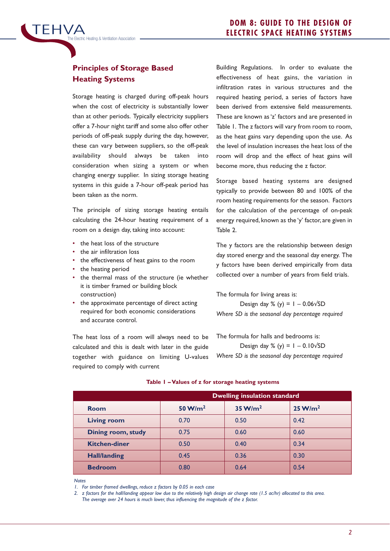TEHVA

# **Principles of Storage Based Heating Systems**

Storage heating is charged during off-peak hours when the cost of electricity is substantially lower than at other periods. Typically electricity suppliers offer a 7-hour night tariff and some also offer other periods of off-peak supply during the day, however, these can vary between suppliers, so the off-peak availability should always be taken into consideration when sizing a system or when changing energy supplier. In sizing storage heating systems in this guide a 7-hour off-peak period has been taken as the norm.

The principle of sizing storage heating entails calculating the 24-hour heating requirement of a room on a design day, taking into account:

- the heat loss of the structure
- the air infiltration loss
- the effectiveness of heat gains to the room
- the heating period
- the thermal mass of the structure (ie whether it is timber framed or building block construction)
- the approximate percentage of direct acting required for both economic considerations and accurate control.

The heat loss of a room will always need to be calculated and this is dealt with later in the guide together with guidance on limiting U-values required to comply with current

Building Regulations. In order to evaluate the effectiveness of heat gains, the variation in infiltration rates in various structures and the required heating period, a series of factors have been derived from extensive field measurements. These are known as 'z' factors and are presented in Table 1. The z factors will vary from room to room, as the heat gains vary depending upon the use. As the level of insulation increases the heat loss of the room will drop and the effect of heat gains will become more, thus reducing the z factor.

Storage based heating systems are designed typically to provide between 80 and 100% of the room heating requirements for the season. Factors for the calculation of the percentage of on-peak energy required, known as the 'y' factor, are given in Table 2.

The y factors are the relationship between design day stored energy and the seasonal day energy. The y factors have been derived empirically from data collected over a number of years from field trials.

The formula for living areas is:

Design day % (y) =  $1 - 0.06\sqrt{SD}$ *Where SD is the seasonal day percentage required*

The formula for halls and bedrooms is: Design day % (y) =  $1 - 0.10\sqrt{SD}$ *Where SD is the seasonal day percentage required*

|                           | <b>Dwelling insulation standard</b> |                     |                     |
|---------------------------|-------------------------------------|---------------------|---------------------|
| <b>Room</b>               | 50 W/m <sup>2</sup>                 | 35 W/m <sup>2</sup> | 25 W/m <sup>2</sup> |
| <b>Living room</b>        | 0.70                                | 0.50                | 0.42                |
| <b>Dining room, study</b> | 0.75                                | 0.60                | 0.60                |
| <b>Kitchen-diner</b>      | 0.50                                | 0.40                | 0.34                |
| <b>Hall/landing</b>       | 0.45                                | 0.36                | 0.30                |
| <b>Bedroom</b>            | 0.80                                | 0.64                | 0.54                |

#### **Table 1 – Values of z for storage heating systems**

*Notes*

*1. For timber framed dwellings, reduce z factors by 0.05 in each case*

*2. z factors for the hall/landing appear low due to the relatively high design air change rate (1.5 ac/hr) allocated to this area. The average over 24 hours is much lower, thus influencing the magnitude of the z factor.*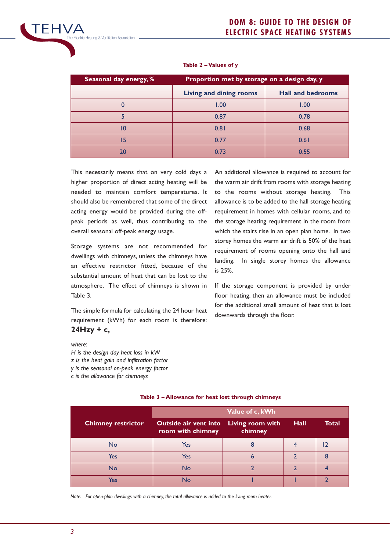

# **DOM 8: GUIDE TO THE DESIGN OF ELECTRIC SPACE HEATING SYSTEMS**

#### **Table 2 – Values of y**

| Seasonal day energy, % | Proportion met by storage on a design day, y |                          |  |
|------------------------|----------------------------------------------|--------------------------|--|
|                        | <b>Living and dining rooms</b>               | <b>Hall and bedrooms</b> |  |
|                        | 1.00                                         | 1.00                     |  |
|                        | 0.87                                         | 0.78                     |  |
| 10                     | 0.81                                         | 0.68                     |  |
| 15                     | 0.77                                         | 0.61                     |  |
| 20                     | 0.73                                         | 0.55                     |  |

This necessarily means that on very cold days a higher proportion of direct acting heating will be needed to maintain comfort temperatures. It should also be remembered that some of the direct acting energy would be provided during the offpeak periods as well, thus contributing to the overall seasonal off-peak energy usage.

Storage systems are not recommended for dwellings with chimneys, unless the chimneys have an effective restrictor fitted, because of the substantial amount of heat that can be lost to the atmosphere. The effect of chimneys is shown in Table 3.

The simple formula for calculating the 24 hour heat requirement (kWh) for each room is therefore: **24Hzy + c,**

An additional allowance is required to account for the warm air drift from rooms with storage heating to the rooms without storage heating. This allowance is to be added to the hall storage heating requirement in homes with cellular rooms, and to the storage heating requirement in the room from which the stairs rise in an open plan home. In two storey homes the warm air drift is 50% of the heat requirement of rooms opening onto the hall and landing. In single storey homes the allowance is 25%.

If the storage component is provided by under floor heating, then an allowance must be included for the additional small amount of heat that is lost downwards through the floor.

*where: H is the design day heat loss in kW z is the heat gain and infiltration factor y is the seasonal on-peak energy factor c is the allowance for chimneys*

| rapic $3 -$ Allowance for fieat lost through children's |                                                             |         |      |              |
|---------------------------------------------------------|-------------------------------------------------------------|---------|------|--------------|
|                                                         | Value of c, kWh                                             |         |      |              |
| <b>Chimney restrictor</b>                               | Outside air vent into Living room with<br>room with chimney | chimney | Hall | <b>Total</b> |
| <b>No</b>                                               | Yes                                                         | 8       |      | 12           |
| <b>Yes</b>                                              | <b>Yes</b>                                                  | ь       |      | 8            |
| <b>No</b>                                               | <b>No</b>                                                   |         |      |              |
| Yes                                                     | No                                                          |         |      |              |

#### **Table 3 – Allowance for heat lost through chimneys**

*Note: For open-plan dwellings with a chimney, the total allowance is added to the living room heater.*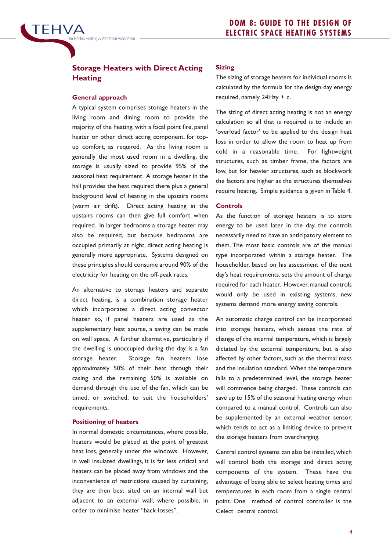**TEHVA** 

# **Storage Heaters with Direct Acting Heating**

#### **General approach**

A typical system comprises storage heaters in the living room and dining room to provide the majority of the heating, with a focal point fire, panel heater or other direct acting component, for topup comfort, as required. As the living room is generally the most used room in a dwelling, the storage is usually sized to provide 95% of the seasonal heat requirement. A storage heater in the hall provides the heat required there plus a general background level of heating in the upstairs rooms (warm air drift). Direct acting heating in the upstairs rooms can then give full comfort when required. In larger bedrooms a storage heater may also be required, but because bedrooms are occupied primarily at night, direct acting heating is generally more appropriate. Systems designed on these principles should consume around 90% of the electricity for heating on the off-peak rates.

An alternative to storage heaters and separate direct heating, is a combination storage heater which incorporates a direct acting convector heater so, if panel heaters are used as the supplementary heat source, a saving can be made on wall space. A further alternative, particularly if the dwelling is unoccupied during the day, is a fan storage heater. Storage fan heaters lose approximately 50% of their heat through their casing and the remaining 50% is available on demand through the use of the fan, which can be timed, or switched, to suit the householders' requirements.

#### **Positioning of heaters**

In normal domestic circumstances, where possible, heaters would be placed at the point of greatest heat loss, generally under the windows. However, in well insulated dwellings, it is far less critical and heaters can be placed away from windows and the inconvenience of restrictions caused by curtaining, they are then best sited on an internal wall but adjacent to an external wall, where possible, in order to minimise heater "back-losses".

## **Sizing**

The sizing of storage heaters for individual rooms is calculated by the formula for the design day energy required, namely 24Hzy + c.

The sizing of direct acting heating is not an energy calculation so all that is required is to include an 'overload factor' to be applied to the design heat loss in order to allow the room to heat up from cold in a reasonable time. For lightweight structures, such as timber frame, the factors are low, but for heavier structures, such as blockwork the factors are higher as the structures themselves require heating. Simple guidance is given in Table 4.

#### **Controls**

As the function of storage heaters is to store energy to be used later in the day, the controls necessarily need to have an anticipatory element to them. The most basic controls are of the manual type incorporated within a storage heater. The householder, based on his assessment of the next day's heat requirements, sets the amount of charge required for each heater. However, manual controls would only be used in existing systems, new systems demand more energy saving controls.

An automatic charge control can be incorporated into storage heaters, which senses the rate of change of the internal temperature, which is largely dictated by the external temperature, but is also affected by other factors, such as the thermal mass and the insulation standard. When the temperature falls to a predetermined level, the storage heater will commence being charged. These controls can save up to 15% of the seasonal heating energy when compared to a manual control. Controls can also be supplemented by an external weather sensor, which tends to act as a limiting device to prevent the storage heaters from overcharging.

Central control systems can also be installed, which will control both the storage and direct acting components of the system. These have the advantage of being able to select heating times and temperatures in each room from a single central point. One method of control controller is the Celect central control.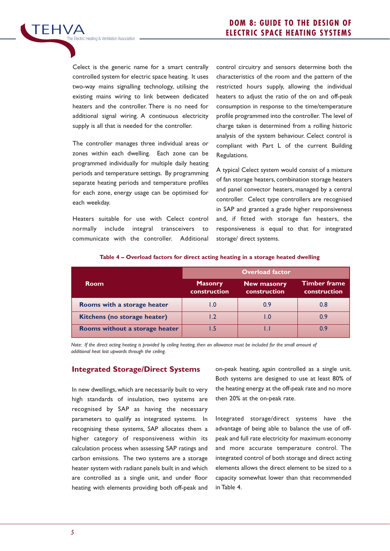

Celect is the generic name for a smart centrally controlled system for electric space heating. It uses two-way mains signalling technology, utilising the existing mains wiring to link between dedicated heaters and the controller. There is no need for additional signal wiring. A continuous electricity supply is all that is needed for the controller.

The controller manages three individual areas or zones within each dwelling. Each zone can be programmed individually for multiple daily heating periods and temperature settings. By programming separate heating periods and temperature profiles for each zone, energy usage can be optimised for each weekday.

Heaters suitable for use with Celect control normally include integral transceivers to communicate with the controller. Additional control circuitry and sensors determine both the characteristics of the room and the pattern of the restricted hours supply, allowing the individual heaters to adjust the ratio of the on and off-peak consumption in response to the time/temperature profile programmed into the controller. The level of charge taken is determined from a rolling historic analysis of the system behaviour. Celect control is compliant with Part L of the current Building Regulations.

A typical Celect system would consist of a mixture of fan storage heaters, combination storage heaters and panel convector heaters, managed by a central controller. Celect type controllers are recognised in SAP and granted a grade higher responsiveness and, if fitted with storage fan heaters, the responsiveness is equal to that for integrated storage/ direct systems.

|                                | <b>Overload factor</b>         |                                    |                                     |  |
|--------------------------------|--------------------------------|------------------------------------|-------------------------------------|--|
| <b>Room</b>                    | <b>Masonry</b><br>construction | <b>New masonry</b><br>construction | <b>Timber frame</b><br>construction |  |
| Rooms with a storage heater    | l.O                            | 0.9                                | 0.8                                 |  |
| Kitchens (no storage heater)   | l 2                            | LO.                                | 0.9                                 |  |
| Rooms without a storage heater | I 5                            |                                    | በ ዓ                                 |  |

#### **Table 4 – Overload factors for direct acting heating in a storage heated dwelling**

*Note: If the direct acting heating is provided by ceiling heating, then an allowance must be included for the small amount of additional heat lost upwards through the ceiling.*

# **Integrated Storage/Direct Systems**

In new dwellings, which are necessarily built to very high standards of insulation, two systems are recognised by SAP as having the necessary parameters to qualify as integrated systems. In recognising these systems, SAP allocates them a higher category of responsiveness within its calculation process when assessing SAP ratings and carbon emissions. The two systems are a storage heater system with radiant panels built in and which are controlled as a single unit, and under floor heating with elements providing both off-peak and on-peak heating, again controlled as a single unit. Both systems are designed to use at least 80% of the heating energy at the off-peak rate and no more then 20% at the on-peak rate.

Integrated storage/direct systems have the advantage of being able to balance the use of offpeak and full rate electricity for maximum economy and more accurate temperature control. The integrated control of both storage and direct acting elements allows the direct element to be sized to a capacity somewhat lower than that recommended in Table 4.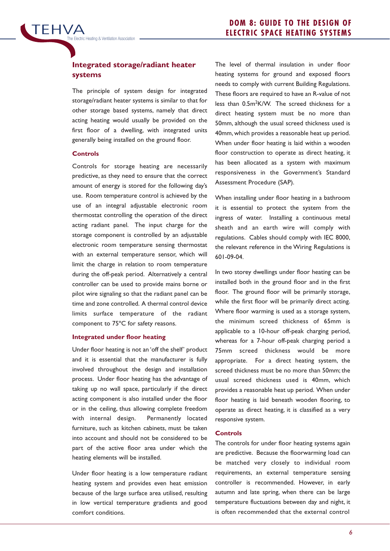# **Integrated storage/radiant heater systems**

The principle of system design for integrated storage/radiant heater systems is similar to that for other storage based systems, namely that direct acting heating would usually be provided on the first floor of a dwelling, with integrated units generally being installed on the ground floor.

## **Controls**

Controls for storage heating are necessarily predictive, as they need to ensure that the correct amount of energy is stored for the following day's use. Room temperature control is achieved by the use of an integral adjustable electronic room thermostat controlling the operation of the direct acting radiant panel. The input charge for the storage component is controlled by an adjustable electronic room temperature sensing thermostat with an external temperature sensor, which will limit the charge in relation to room temperature during the off-peak period. Alternatively a central controller can be used to provide mains borne or pilot wire signaling so that the radiant panel can be time and zone controlled. A thermal control device limits surface temperature of the radiant component to 75ºC for safety reasons.

## **Integrated under floor heating**

Under floor heating is not an 'off the shelf' product and it is essential that the manufacturer is fully involved throughout the design and installation process. Under floor heating has the advantage of taking up no wall space, particularly if the direct acting component is also installed under the floor or in the ceiling, thus allowing complete freedom with internal design. Permanently located furniture, such as kitchen cabinets, must be taken into account and should not be considered to be part of the active floor area under which the heating elements will be installed.

Under floor heating is a low temperature radiant heating system and provides even heat emission because of the large surface area utilised, resulting in low vertical temperature gradients and good comfort conditions.

The level of thermal insulation in under floor heating systems for ground and exposed floors needs to comply with current Building Regulations. These floors are required to have an R-value of not less than 0.5m2K/W. The screed thickness for a direct heating system must be no more than 50mm, although the usual screed thickness used is 40mm, which provides a reasonable heat up period. When under floor heating is laid within a wooden floor construction to operate as direct heating, it has been allocated as a system with maximum responsiveness in the Government's Standard Assessment Procedure (SAP).

When installing under floor heating in a bathroom it is essential to protect the system from the ingress of water. Installing a continuous metal sheath and an earth wire will comply with regulations. Cables should comply with IEC 8000, the relevant reference in the Wiring Regulations is 601-09-04.

In two storey dwellings under floor heating can be installed both in the ground floor and in the first floor. The ground floor will be primarily storage, while the first floor will be primarily direct acting. Where floor warming is used as a storage system, the minimum screed thickness of 65mm is applicable to a 10-hour off-peak charging period, whereas for a 7-hour off-peak charging period a 75mm screed thickness would be more appropriate. For a direct heating system, the screed thickness must be no more than 50mm; the usual screed thickness used is 40mm, which provides a reasonable heat up period. When under floor heating is laid beneath wooden flooring, to operate as direct heating, it is classified as a very responsive system.

#### **Controls**

The controls for under floor heating systems again are predictive. Because the floorwarming load can be matched very closely to individual room requirements, an external temperature sensing controller is recommended. However, in early autumn and late spring, when there can be large temperature fluctuations between day and night, it is often recommended that the external control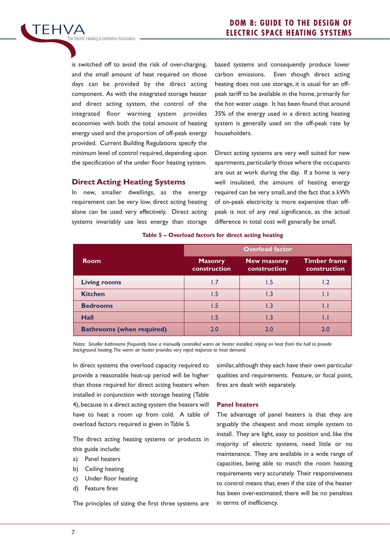

is switched off to avoid the risk of over-charging, and the small amount of heat required on those days can be provided by the direct acting component. As with the integrated storage heater and direct acting system, the control of the integrated floor warming system provides economies with both the total amount of heating energy used and the proportion of off-peak energy provided. Current Building Regulations specify the minimum level of control required, depending upon the specification of the under floor heating system.

based systems and consequently produce lower carbon emissions. Even though direct acting heating does not use storage, it is usual for an offpeak tariff to be available in the home, primarily for the hot water usage. It has been found that around 35% of the energy used in a direct acting heating system is generally used on the off-peak rate by householders.

Direct acting systems are very well suited for new apartments, particularly those where the occupants are out at work during the day. If a home is very well insulated, the amount of heating energy required can be very small, and the fact that a kWh of on-peak electricity is more expensive than offpeak is not of any real significance, as the actual difference in total cost will generally be small.

## **Direct Acting Heating Systems**

In new, smaller dwellings, as the energy requirement can be very low, direct acting heating alone can be used very effectively. Direct acting systems invariably use less energy than storage

|                                  | <b>Overload factor</b>         |                                    |                                     |  |
|----------------------------------|--------------------------------|------------------------------------|-------------------------------------|--|
| <b>Room</b>                      | <b>Masonry</b><br>construction | <b>New masonry</b><br>construction | <b>Timber frame</b><br>construction |  |
| <b>Living rooms</b>              | 1.7                            | 1.5                                | 1.2                                 |  |
| <b>Kitchen</b>                   | 1.5                            | $\mathsf{L}3$                      |                                     |  |
| <b>Bedrooms</b>                  | 1.5                            | I.3                                | IJ                                  |  |
| <b>Hall</b>                      | 1.5                            | 1.3                                | IJ                                  |  |
| <b>Bathrooms (when required)</b> | 2.0                            | 2.0                                | 2.0                                 |  |

**Table 5 – Overload factors for direct acting heating**

*Notes: Smaller bathrooms frequently have a manually controlled warm air heater installed, relying on heat from the hall to provide background heating.The warm air heater provides very rapid response to heat demand.*

In direct systems the overload capacity required to provide a reasonable heat-up period will be higher than those required for direct acting heaters when installed in conjunction with storage heating (Table 4), because in a direct acting system the heaters will have to heat a room up from cold. A table of overload factors required is given in Table 5.

The direct acting heating systems or products in this guide include:

- a) Panel heaters
- b) Ceiling heating
- c) Under floor heating
- d) Feature fires

The principles of sizing the first three systems are

similar, although they each have their own particular qualities and requirements. Feature, or focal point, fires are dealt with separately.

#### **Panel heaters**

The advantage of panel heaters is that they are arguably the cheapest and most simple system to install. They are light, easy to position and, like the majority of electric systems, need little or no maintenance. They are available in a wide range of capacities, being able to match the room heating requirements very accurately. Their responsiveness to control means that, even if the size of the heater has been over-estimated, there will be no penalties in terms of inefficiency.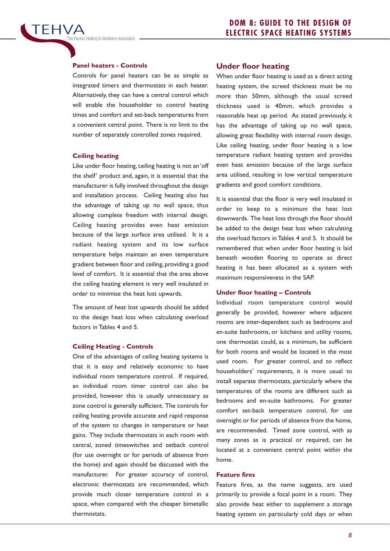**TEHVA** 



#### **Panel heaters - Controls**

Controls for panel heaters can be as simple as integrated timers and thermostats in each heater. Alternatively, they can have a central control which will enable the householder to control heating times and comfort and set-back temperatures from a convenient central point. There is no limit to the number of separately controlled zones required.

#### **Ceiling heating**

Like under floor heating, ceiling heating is not an 'off the shelf' product and, again, it is essential that the manufacturer is fully involved throughout the design and installation process. Ceiling heating also has the advantage of taking up no wall space, thus allowing complete freedom with internal design. Ceiling heating provides even heat emission because of the large surface area utilised. It is a radiant heating system and its low surface temperature helps maintain an even temperature gradient between floor and ceiling, providing a good level of comfort. It is essential that the area above the ceiling heating element is very well insulated in order to minimise the heat lost upwards.

The amount of heat lost upwards should be added to the design heat loss when calculating overload factors in Tables 4 and 5.

#### **Ceiling Heating - Controls**

One of the advantages of ceiling heating systems is that it is easy and relatively economic to have individual room temperature control. If required, an individual room timer control can also be provided, however this is usually unnecessary as zone control is generally sufficient. The controls for ceiling heating provide accurate and rapid response of the system to changes in temperature or heat gains. They include thermostats in each room with central, zoned timeswitches and setback control (for use overnight or for periods of absence from the home) and again should be discussed with the manufacturer. For greater accuracy of control, electronic thermostats are recommended, which provide much closer temperature control in a space, when compared with the cheaper bimetallic thermostats.

## **Under floor heating**

When under floor heating is used as a direct acting heating system, the screed thickness must be no more than 50mm, although the usual screed thickness used is 40mm, which provides a reasonable heat up period. As stated previously, it has the advantage of taking up no wall space, allowing great flexibility with internal room design. Like ceiling heating, under floor heating is a low temperature radiant heating system and provides even heat emission because of the large surface area utilised, resulting in low vertical temperature gradients and good comfort conditions.

It is essential that the floor is very well insulated in order to keep to a minimum the heat lost downwards. The heat loss through the floor should be added to the design heat loss when calculating the overload factors in Tables 4 and 5. It should be remembered that when under floor heating is laid beneath wooden flooring to operate as direct heating it has been allocated as a system with maximum responsiveness in the SAP.

## **Under floor heating – Controls**

Individual room temperature control would generally be provided, however where adjacent rooms are inter-dependent such as bedrooms and en-suite bathrooms, or kitchens and utility rooms, one thermostat could, as a minimum, be sufficient for both rooms and would be located in the most used room. For greater control, and to reflect householders' requirements, it is more usual to install separate thermostats, particularly where the temperatures of the rooms are different such as bedrooms and en-suite bathrooms. For greater comfort set-back temperature control, for use overnight or for periods of absence from the home, are recommended. Timed zone control, with as many zones as is practical or required, can be located at a convenient central point within the home.

#### **Feature fires**

Feature fires, as the name suggests, are used primarily to provide a focal point in a room. They also provide heat either to supplement a storage heating system on particularly cold days or when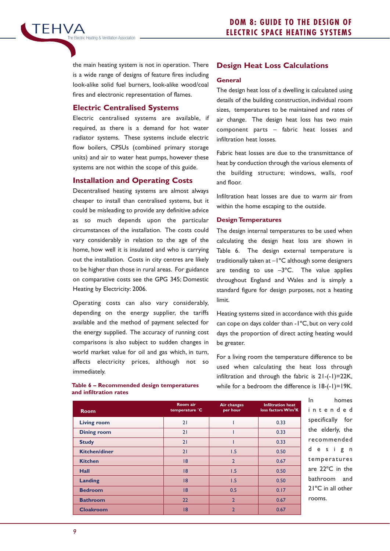

the main heating system is not in operation. There is a wide range of designs of feature fires including look-alike solid fuel burners, look-alike wood/coal fires and electronic representation of flames.

# **Electric Centralised Systems**

Electric centralised systems are available, if required, as there is a demand for hot water radiator systems. These systems include electric flow boilers, CPSUs (combined primary storage units) and air to water heat pumps, however these systems are not within the scope of this guide.

# **Installation and Operating Costs**

Decentralised heating systems are almost always cheaper to install than centralised systems, but it could be misleading to provide any definitive advice as so much depends upon the particular circumstances of the installation. The costs could vary considerably in relation to the age of the home, how well it is insulated and who is carrying out the installation. Costs in city centres are likely to be higher than those in rural areas. For guidance on comparative costs see the GPG 345; Domestic Heating by Electricity: 2006.

Operating costs can also vary considerably, depending on the energy supplier, the tariffs available and the method of payment selected for the energy supplied. The accuracy of running cost comparisons is also subject to sudden changes in world market value for oil and gas which, in turn, affects electricity prices, although not so immediately.

## **Design Heat Loss Calculations**

## **General**

The design heat loss of a dwelling is calculated using details of the building construction, individual room sizes, temperatures to be maintained and rates of air change. The design heat loss has two main component parts – fabric heat losses and infiltration heat losses.

Fabric heat losses are due to the transmittance of heat by conduction through the various elements of the building structure; windows, walls, roof and floor.

Infiltration heat losses are due to warm air from within the home escaping to the outside.

#### **Design Temperatures**

The design internal temperatures to be used when calculating the design heat loss are shown in Table 6. The design external temperature is traditionally taken at  $-1^{\circ}C$  although some designers are tending to use  $-3^{\circ}$ C. The value applies throughout England and Wales and is simply a standard figure for design purposes, not a heating limit.

Heating systems sized in accordance with this guide can cope on days colder than -1°C, but on very cold days the proportion of direct acting heating would be greater.

For a living room the temperature difference to be used when calculating the heat loss through infiltration and through the fabric is 21-(-1)=22K, while for a bedroom the difference is 18-(-1)=19K.

| <b>Room</b>          | Room air<br>temperature °C | Air changes<br>per hour | <b>Infiltration heat</b><br>loss factors $W/m^2K$ |
|----------------------|----------------------------|-------------------------|---------------------------------------------------|
| <b>Living room</b>   | 21                         |                         | 0.33                                              |
| <b>Dining room</b>   | 21                         |                         | 0.33                                              |
| <b>Study</b>         | 21                         |                         | 0.33                                              |
| <b>Kitchen/diner</b> | 21                         | 1.5                     | 0.50                                              |
| <b>Kitchen</b>       | 8                          | $\overline{2}$          | 0.67                                              |
| <b>Hall</b>          | 8                          | 1.5                     | 0.50                                              |
| Landing              | 8                          | 1.5                     | 0.50                                              |
| <b>Bedroom</b>       | 8                          | 0.5                     | 0.17                                              |
| <b>Bathroom</b>      | 22                         | $\overline{2}$          | 0.67                                              |
| <b>Cloakroom</b>     | 8                          | $\overline{2}$          | 0.67                                              |

#### **Table 6 – Recommended design temperatures and infiltration rates**

intended specifically for the elderly, the recommended design temperatures are 22ºC in the bathroom and 21ºC in all other rooms.

In homes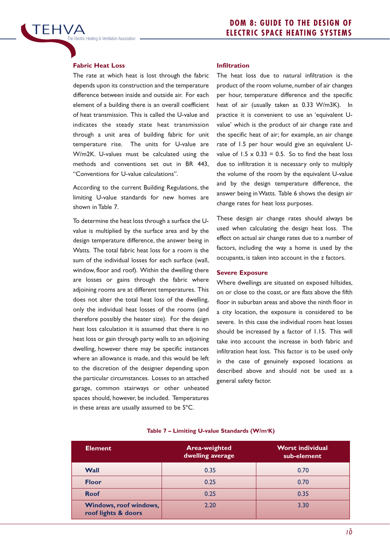#### **Fabric Heat Loss**

TEHVA

The rate at which heat is lost through the fabric depends upon its construction and the temperature difference between inside and outside air. For each element of a building there is an overall coefficient of heat transmission. This is called the U-value and indicates the steady state heat transmission through a unit area of building fabric for unit temperature rise. The units for U-value are W/m2K. U-values must be calculated using the methods and conventions set out in BR 443, "Conventions for U-value calculations".

According to the current Building Regulations, the limiting U-value standards for new homes are shown in Table 7.

To determine the heat loss through a surface the Uvalue is multiplied by the surface area and by the design temperature difference, the answer being in Watts. The total fabric heat loss for a room is the sum of the individual losses for each surface (wall, window, floor and roof). Within the dwelling there are losses or gains through the fabric where adjoining rooms are at different temperatures. This does not alter the total heat loss of the dwelling, only the individual heat losses of the rooms (and therefore possibly the heater size). For the design heat loss calculation it is assumed that there is no heat loss or gain through party walls to an adjoining dwelling, however there may be specific instances where an allowance is made, and this would be left to the discretion of the designer depending upon the particular circumstances. Losses to an attached garage, common stairways or other unheated spaces should, however, be included. Temperatures in these areas are usually assumed to be 5ºC.

#### **Infiltration**

The heat loss due to natural infiltration is the product of the room volume, number of air changes per hour, temperature difference and the specific heat of air (usually taken as 0.33 W/m3K). In practice it is convenient to use an 'equivalent Uvalue' which is the product of air change rate and the specific heat of air; for example, an air change rate of 1.5 per hour would give an equivalent Uvalue of  $1.5 \times 0.33 = 0.5$ . So to find the heat loss due to infiltration it is necessary only to multiply the volume of the room by the equivalent U-value and by the design temperature difference, the answer being in Watts. Table 6 shows the design air change rates for heat loss purposes.

These design air change rates should always be used when calculating the design heat loss. The effect on actual air change rates due to a number of factors, including the way a home is used by the occupants, is taken into account in the z factors.

#### **Severe Exposure**

Where dwellings are situated on exposed hillsides, on or close to the coast, or are flats above the fifth floor in suburban areas and above the ninth floor in a city location, the exposure is considered to be severe. In this case the individual room heat losses should be increased by a factor of 1.15. This will take into account the increase in both fabric and infiltration heat loss. This factor is to be used only in the case of genuinely exposed locations as described above and should not be used as a general safety factor.

| Element                                       | Area-weighted<br>dwelling average | <b>Worst individual</b><br>sub-element |  |
|-----------------------------------------------|-----------------------------------|----------------------------------------|--|
| Wall                                          | 0.35                              | 0.70                                   |  |
| <b>Floor</b>                                  | 0.25                              | 0.70                                   |  |
| <b>Roof</b>                                   | 0.25                              | 0.35                                   |  |
| Windows, roof windows,<br>roof lights & doors | 2.20                              | 3.30                                   |  |

#### **Table 7 – Limiting U-value Standards (W/m2 K)**